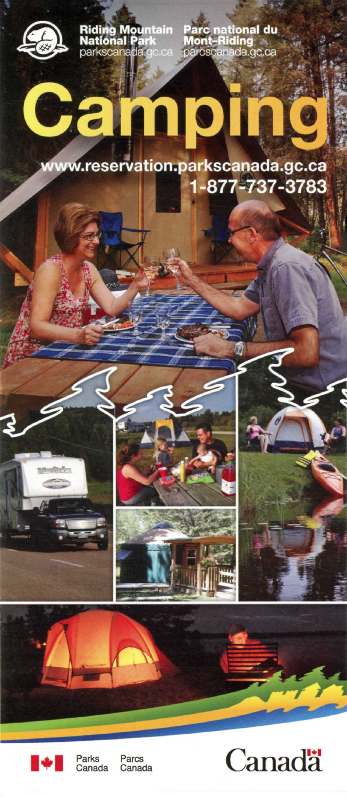

**Riding Mountain National Park**  parkscanada.gc.

**Pare national du Mont-Riding**  parcscanada.gc.ca

# **L r**

www.reservation.parkscanada.gc.ca **1-877-737-3783** 



Parks<br>Canada

Parcs<br>Canada



Ш